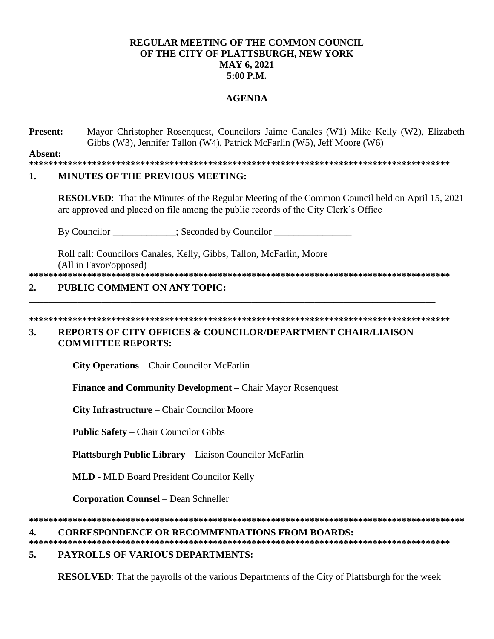### **REGULAR MEETING OF THE COMMON COUNCIL OF THE CITY OF PLATTSBURGH, NEW YORK MAY 6, 2021 5:00 P.M.**

### **AGENDA**

**Present:** Mayor Christopher Rosenquest, Councilors Jaime Canales (W1) Mike Kelly (W2), Elizabeth Gibbs (W3), Jennifer Tallon (W4), Patrick McFarlin (W5), Jeff Moore (W6)

**Absent:**

**\*\*\*\*\*\*\*\*\*\*\*\*\*\*\*\*\*\*\*\*\*\*\*\*\*\*\*\*\*\*\*\*\*\*\*\*\*\*\*\*\*\*\*\*\*\*\*\*\*\*\*\*\*\*\*\*\*\*\*\*\*\*\*\*\*\*\*\*\*\*\*\*\*\*\*\*\*\*\*\*\*\*\*\*\*\*\***

### **1. MINUTES OF THE PREVIOUS MEETING:**

**RESOLVED**: That the Minutes of the Regular Meeting of the Common Council held on April 15, 2021 are approved and placed on file among the public records of the City Clerk's Office

By Councilor \_\_\_\_\_\_\_\_\_\_\_; Seconded by Councilor \_\_\_\_\_\_\_\_\_\_\_\_\_\_\_\_\_\_\_\_\_\_\_;

Roll call: Councilors Canales, Kelly, Gibbs, Tallon, McFarlin, Moore (All in Favor/opposed)

**\*\*\*\*\*\*\*\*\*\*\*\*\*\*\*\*\*\*\*\*\*\*\*\*\*\*\*\*\*\*\*\*\*\*\*\*\*\*\*\*\*\*\*\*\*\*\*\*\*\*\*\*\*\*\*\*\*\*\*\*\*\*\*\*\*\*\*\*\*\*\*\*\*\*\*\*\*\*\*\*\*\*\*\*\*\*\***

### **2. PUBLIC COMMENT ON ANY TOPIC:**

**\*\*\*\*\*\*\*\*\*\*\*\*\*\*\*\*\*\*\*\*\*\*\*\*\*\*\*\*\*\*\*\*\*\*\*\*\*\*\*\*\*\*\*\*\*\*\*\*\*\*\*\*\*\*\*\*\*\*\*\*\*\*\*\*\*\*\*\*\*\*\*\*\*\*\*\*\*\*\*\*\*\*\*\*\*\*\*** 

\_\_\_\_\_\_\_\_\_\_\_\_\_\_\_\_\_\_\_\_\_\_\_\_\_\_\_\_\_\_\_\_\_\_\_\_\_\_\_\_\_\_\_\_\_\_\_\_\_\_\_\_\_\_\_\_\_\_\_\_\_\_\_\_\_\_\_\_\_\_\_\_\_\_\_\_\_\_\_\_\_\_\_\_

### **3. REPORTS OF CITY OFFICES & COUNCILOR/DEPARTMENT CHAIR/LIAISON COMMITTEE REPORTS:**

**City Operations** – Chair Councilor McFarlin

**Finance and Community Development –** Chair Mayor Rosenquest

**City Infrastructure** – Chair Councilor Moore

**Public Safety** – Chair Councilor Gibbs

**Plattsburgh Public Library** – Liaison Councilor McFarlin

**MLD -** MLD Board President Councilor Kelly

**Corporation Counsel** – Dean Schneller

**\*\*\*\*\*\*\*\*\*\*\*\*\*\*\*\*\*\*\*\*\*\*\*\*\*\*\*\*\*\*\*\*\*\*\*\*\*\*\*\*\*\*\*\*\*\*\*\*\*\*\*\*\*\*\*\*\*\*\*\*\*\*\*\*\*\*\*\*\*\*\*\*\*\*\*\*\*\*\*\*\*\*\*\*\*\*\*\*\*\***

### **4. CORRESPONDENCE OR RECOMMENDATIONS FROM BOARDS:**

**\*\*\*\*\*\*\*\*\*\*\*\*\*\*\*\*\*\*\*\*\*\*\*\*\*\*\*\*\*\*\*\*\*\*\*\*\*\*\*\*\*\*\*\*\*\*\*\*\*\*\*\*\*\*\*\*\*\*\*\*\*\*\*\*\*\*\*\*\*\*\*\*\*\*\*\*\*\*\*\*\*\*\*\*\*\*\***

## **5. PAYROLLS OF VARIOUS DEPARTMENTS:**

**RESOLVED**: That the payrolls of the various Departments of the City of Plattsburgh for the week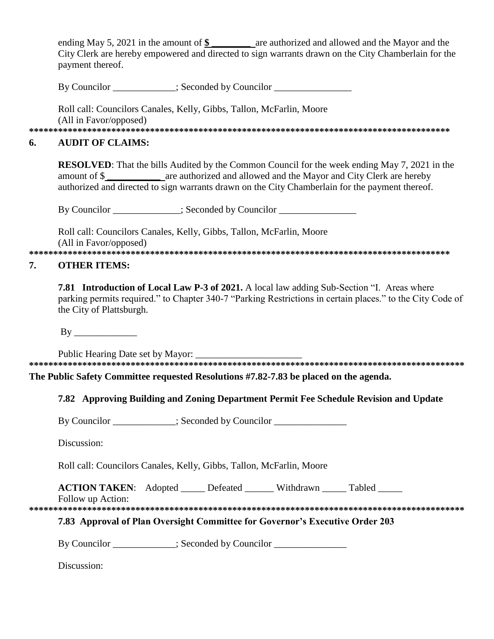ending May 5, 2021 in the amount of  $\$\$  are authorized and allowed and the Mayor and the City Clerk are hereby empowered and directed to sign warrants drawn on the City Chamberlain for the payment thereof.

By Councilor \_\_\_\_\_\_\_\_\_\_\_\_; Seconded by Councilor \_\_\_\_\_\_\_\_

Roll call: Councilors Canales, Kelly, Gibbs, Tallon, McFarlin, Moore (All in Favor/opposed)

#### **AUDIT OF CLAIMS:** 6.

**RESOLVED:** That the bills Audited by the Common Council for the week ending May 7, 2021 in the amount of \$ are authorized and allowed and the Mayor and City Clerk are hereby authorized and directed to sign warrants drawn on the City Chamberlain for the payment thereof.

By Councilor \_\_\_\_\_\_\_\_\_\_\_\_; Seconded by Councilor \_\_\_\_\_\_\_\_\_\_\_\_\_\_\_\_\_\_\_\_\_\_\_\_\_\_\_\_\_\_\_

Roll call: Councilors Canales, Kelly, Gibbs, Tallon, McFarlin, Moore (All in Favor/opposed) 

#### 7. **OTHER ITEMS:**

**7.81 Introduction of Local Law P-3 of 2021.** A local law adding Sub-Section "I. Areas where parking permits required." to Chapter 340-7 "Parking Restrictions in certain places." to the City Code of the City of Plattsburgh.

Public Hearing Date set by Mayor: 

The Public Safety Committee requested Resolutions #7.82-7.83 be placed on the agenda.

## 7.82 Approving Building and Zoning Department Permit Fee Schedule Revision and Update

By Councilor : Seconded by Councilor

Discussion:

Roll call: Councilors Canales, Kelly, Gibbs, Tallon, McFarlin, Moore

**ACTION TAKEN:** Adopted Defeated Withdrawn Tabled

Follow up Action:

## 7.83 Approval of Plan Oversight Committee for Governor's Executive Order 203

By Councilor \_\_\_\_\_\_\_\_\_\_\_\_; Seconded by Councilor \_\_\_\_\_\_\_\_\_\_\_\_\_\_\_\_\_\_\_\_\_\_\_\_\_\_\_\_\_\_\_

Discussion: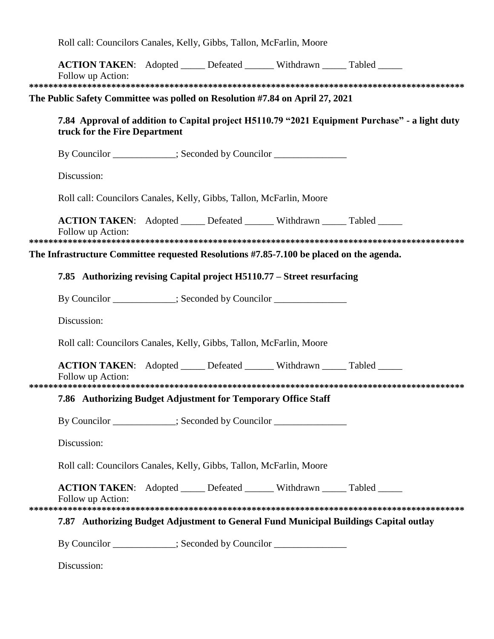Roll call: Councilors Canales, Kelly, Gibbs, Tallon, McFarlin, Moore

| <b>ACTION TAKEN:</b> Adopted _____ Defeated ______ Withdrawn _____ Tabled _____<br>Follow up Action:                            |  |  |  |
|---------------------------------------------------------------------------------------------------------------------------------|--|--|--|
|                                                                                                                                 |  |  |  |
| The Public Safety Committee was polled on Resolution #7.84 on April 27, 2021                                                    |  |  |  |
| 7.84 Approval of addition to Capital project H5110.79 "2021 Equipment Purchase" - a light duty<br>truck for the Fire Department |  |  |  |
| By Councilor ___________; Seconded by Councilor _______________                                                                 |  |  |  |
| Discussion:                                                                                                                     |  |  |  |
| Roll call: Councilors Canales, Kelly, Gibbs, Tallon, McFarlin, Moore                                                            |  |  |  |
| <b>ACTION TAKEN:</b> Adopted _____ Defeated ______ Withdrawn _____ Tabled _____<br>Follow up Action:                            |  |  |  |
|                                                                                                                                 |  |  |  |
| The Infrastructure Committee requested Resolutions #7.85-7.100 be placed on the agenda.                                         |  |  |  |
| 7.85 Authorizing revising Capital project H5110.77 – Street resurfacing                                                         |  |  |  |
| By Councilor ___________; Seconded by Councilor _______________                                                                 |  |  |  |
| Discussion:                                                                                                                     |  |  |  |
| Roll call: Councilors Canales, Kelly, Gibbs, Tallon, McFarlin, Moore                                                            |  |  |  |
| <b>ACTION TAKEN:</b> Adopted _____ Defeated ______ Withdrawn _____ Tabled _____<br>Follow up Action:                            |  |  |  |
|                                                                                                                                 |  |  |  |
| 7.86 Authorizing Budget Adjustment for Temporary Office Staff                                                                   |  |  |  |
| By Councilor ___________; Seconded by Councilor _______________                                                                 |  |  |  |
| Discussion:                                                                                                                     |  |  |  |
| Roll call: Councilors Canales, Kelly, Gibbs, Tallon, McFarlin, Moore                                                            |  |  |  |
| <b>ACTION TAKEN:</b> Adopted _____ Defeated ______ Withdrawn _____ Tabled _____<br>Follow up Action:                            |  |  |  |
| 7.87 Authorizing Budget Adjustment to General Fund Municipal Buildings Capital outlay                                           |  |  |  |
|                                                                                                                                 |  |  |  |
| By Councilor ___________; Seconded by Councilor _______________                                                                 |  |  |  |
| Discussion:                                                                                                                     |  |  |  |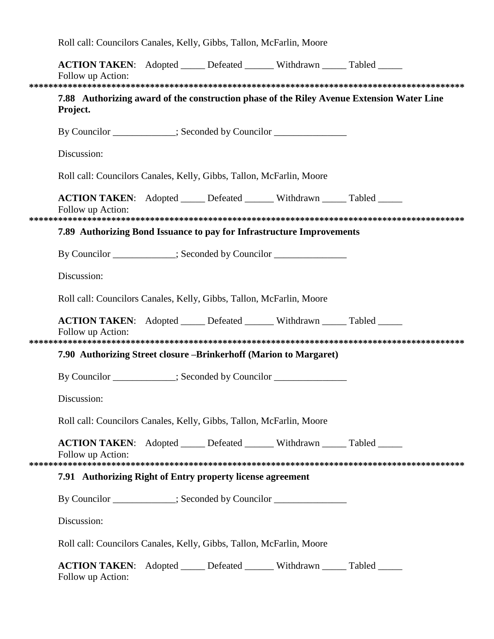Roll call: Councilors Canales, Kelly, Gibbs, Tallon, McFarlin, Moore

|                                                            | <b>ACTION TAKEN:</b> Adopted _____ Defeated ______ Withdrawn _____ Tabled _____<br>Follow up Action:   |  |  |  |                                                                                           |  |  |
|------------------------------------------------------------|--------------------------------------------------------------------------------------------------------|--|--|--|-------------------------------------------------------------------------------------------|--|--|
|                                                            |                                                                                                        |  |  |  |                                                                                           |  |  |
|                                                            | Project.                                                                                               |  |  |  | 7.88 Authorizing award of the construction phase of the Riley Avenue Extension Water Line |  |  |
|                                                            | By Councilor ___________; Seconded by Councilor _______________                                        |  |  |  |                                                                                           |  |  |
|                                                            | Discussion:                                                                                            |  |  |  |                                                                                           |  |  |
|                                                            | Roll call: Councilors Canales, Kelly, Gibbs, Tallon, McFarlin, Moore                                   |  |  |  |                                                                                           |  |  |
|                                                            | ACTION TAKEN: Adopted _____ Defeated ______ Withdrawn _____ Tabled _____<br>Follow up Action:          |  |  |  |                                                                                           |  |  |
|                                                            | 7.89 Authorizing Bond Issuance to pay for Infrastructure Improvements                                  |  |  |  |                                                                                           |  |  |
|                                                            | By Councilor ___________; Seconded by Councilor _______________                                        |  |  |  |                                                                                           |  |  |
|                                                            | Discussion:                                                                                            |  |  |  |                                                                                           |  |  |
|                                                            | Roll call: Councilors Canales, Kelly, Gibbs, Tallon, McFarlin, Moore                                   |  |  |  |                                                                                           |  |  |
|                                                            | <b>ACTION TAKEN:</b> Adopted ______ Defeated _______ Withdrawn _____ Tabled _____<br>Follow up Action: |  |  |  |                                                                                           |  |  |
|                                                            | 7.90 Authorizing Street closure – Brinkerhoff (Marion to Margaret)                                     |  |  |  |                                                                                           |  |  |
|                                                            | By Councilor ___________; Seconded by Councilor ______________                                         |  |  |  |                                                                                           |  |  |
|                                                            | Discussion:                                                                                            |  |  |  |                                                                                           |  |  |
|                                                            | Roll call: Councilors Canales, Kelly, Gibbs, Tallon, McFarlin, Moore                                   |  |  |  |                                                                                           |  |  |
|                                                            | <b>ACTION TAKEN:</b> Adopted ______ Defeated _______ Withdrawn _____ Tabled _____<br>Follow up Action: |  |  |  |                                                                                           |  |  |
| 7.91 Authorizing Right of Entry property license agreement |                                                                                                        |  |  |  |                                                                                           |  |  |
|                                                            | By Councilor ___________; Seconded by Councilor ______________                                         |  |  |  |                                                                                           |  |  |
|                                                            | Discussion:                                                                                            |  |  |  |                                                                                           |  |  |
|                                                            | Roll call: Councilors Canales, Kelly, Gibbs, Tallon, McFarlin, Moore                                   |  |  |  |                                                                                           |  |  |
|                                                            | <b>ACTION TAKEN:</b> Adopted ______ Defeated _______ Withdrawn _____ Tabled _____<br>Follow up Action: |  |  |  |                                                                                           |  |  |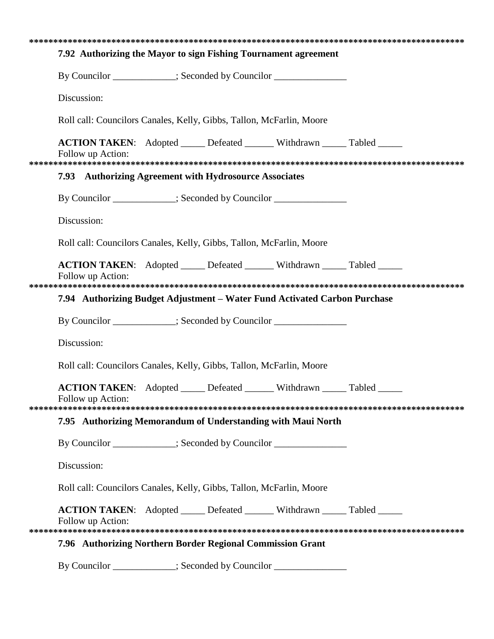|                                                                      | 7.92 Authorizing the Mayor to sign Fishing Tournament agreement                                      |  |  |  |  |  |  |
|----------------------------------------------------------------------|------------------------------------------------------------------------------------------------------|--|--|--|--|--|--|
|                                                                      | By Councilor ___________; Seconded by Councilor ______________                                       |  |  |  |  |  |  |
|                                                                      | Discussion:                                                                                          |  |  |  |  |  |  |
|                                                                      | Roll call: Councilors Canales, Kelly, Gibbs, Tallon, McFarlin, Moore                                 |  |  |  |  |  |  |
|                                                                      | <b>ACTION TAKEN:</b> Adopted _____ Defeated ______ Withdrawn _____ Tabled _____<br>Follow up Action: |  |  |  |  |  |  |
|                                                                      | 7.93 Authorizing Agreement with Hydrosource Associates                                               |  |  |  |  |  |  |
|                                                                      | By Councilor ___________; Seconded by Councilor ________________________________                     |  |  |  |  |  |  |
|                                                                      | Discussion:                                                                                          |  |  |  |  |  |  |
|                                                                      | Roll call: Councilors Canales, Kelly, Gibbs, Tallon, McFarlin, Moore                                 |  |  |  |  |  |  |
|                                                                      | <b>ACTION TAKEN:</b> Adopted _____ Defeated ______ Withdrawn _____ Tabled _____<br>Follow up Action: |  |  |  |  |  |  |
|                                                                      |                                                                                                      |  |  |  |  |  |  |
|                                                                      | 7.94 Authorizing Budget Adjustment – Water Fund Activated Carbon Purchase                            |  |  |  |  |  |  |
|                                                                      | By Councilor ___________; Seconded by Councilor _______________                                      |  |  |  |  |  |  |
|                                                                      | Discussion:                                                                                          |  |  |  |  |  |  |
|                                                                      | Roll call: Councilors Canales, Kelly, Gibbs, Tallon, McFarlin, Moore                                 |  |  |  |  |  |  |
|                                                                      | <b>ACTION TAKEN:</b> Adopted _____ Defeated ______ Withdrawn _____ Tabled _____<br>Follow up Action: |  |  |  |  |  |  |
|                                                                      |                                                                                                      |  |  |  |  |  |  |
|                                                                      | 7.95 Authorizing Memorandum of Understanding with Maui North                                         |  |  |  |  |  |  |
|                                                                      | By Councilor ___________; Seconded by Councilor ______________                                       |  |  |  |  |  |  |
|                                                                      | Discussion:                                                                                          |  |  |  |  |  |  |
| Roll call: Councilors Canales, Kelly, Gibbs, Tallon, McFarlin, Moore |                                                                                                      |  |  |  |  |  |  |
|                                                                      | <b>ACTION TAKEN:</b> Adopted _____ Defeated ______ Withdrawn _____ Tabled _____<br>Follow up Action: |  |  |  |  |  |  |
|                                                                      |                                                                                                      |  |  |  |  |  |  |
| 7.96 Authorizing Northern Border Regional Commission Grant           |                                                                                                      |  |  |  |  |  |  |
|                                                                      | By Councilor ___________; Seconded by Councilor ______________                                       |  |  |  |  |  |  |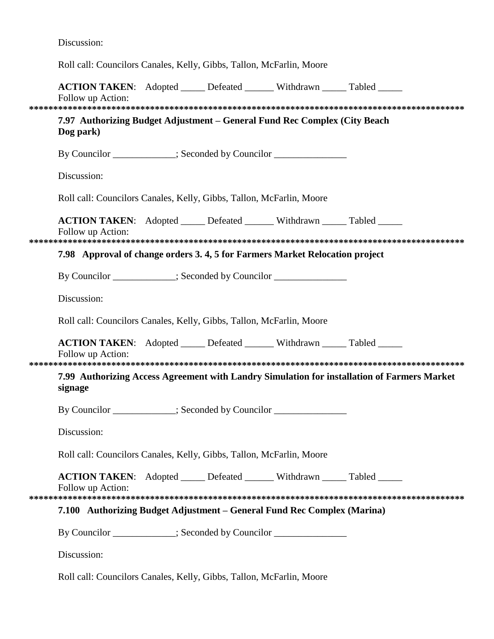Discussion:

Roll call: Councilors Canales, Kelly, Gibbs, Tallon, McFarlin, Moore

|                                                                                                        | <b>ACTION TAKEN:</b> Adopted _____ Defeated ______ Withdrawn _____ Tabled _____<br>Follow up Action: |  |  |  |  |  |  |  |
|--------------------------------------------------------------------------------------------------------|------------------------------------------------------------------------------------------------------|--|--|--|--|--|--|--|
| 7.97 Authorizing Budget Adjustment – General Fund Rec Complex (City Beach<br>Dog park)                 |                                                                                                      |  |  |  |  |  |  |  |
|                                                                                                        | By Councilor __________; Seconded by Councilor ______________                                        |  |  |  |  |  |  |  |
|                                                                                                        | Discussion:                                                                                          |  |  |  |  |  |  |  |
|                                                                                                        | Roll call: Councilors Canales, Kelly, Gibbs, Tallon, McFarlin, Moore                                 |  |  |  |  |  |  |  |
|                                                                                                        | <b>ACTION TAKEN:</b> Adopted _____ Defeated ______ Withdrawn _____ Tabled _____<br>Follow up Action: |  |  |  |  |  |  |  |
|                                                                                                        | 7.98 Approval of change orders 3.4, 5 for Farmers Market Relocation project                          |  |  |  |  |  |  |  |
|                                                                                                        | By Councilor ___________; Seconded by Councilor ______________                                       |  |  |  |  |  |  |  |
|                                                                                                        | Discussion:                                                                                          |  |  |  |  |  |  |  |
|                                                                                                        | Roll call: Councilors Canales, Kelly, Gibbs, Tallon, McFarlin, Moore                                 |  |  |  |  |  |  |  |
|                                                                                                        | <b>ACTION TAKEN:</b> Adopted _____ Defeated ______ Withdrawn _____ Tabled _____<br>Follow up Action: |  |  |  |  |  |  |  |
| 7.99 Authorizing Access Agreement with Landry Simulation for installation of Farmers Market<br>signage |                                                                                                      |  |  |  |  |  |  |  |
|                                                                                                        | By Councilor ___________; Seconded by Councilor ________________________________                     |  |  |  |  |  |  |  |
|                                                                                                        | Discussion:                                                                                          |  |  |  |  |  |  |  |
|                                                                                                        | Roll call: Councilors Canales, Kelly, Gibbs, Tallon, McFarlin, Moore                                 |  |  |  |  |  |  |  |
|                                                                                                        | <b>ACTION TAKEN:</b> Adopted _____ Defeated ______ Withdrawn _____ Tabled _____<br>Follow up Action: |  |  |  |  |  |  |  |
| 7.100 Authorizing Budget Adjustment – General Fund Rec Complex (Marina)                                |                                                                                                      |  |  |  |  |  |  |  |
|                                                                                                        | By Councilor ___________; Seconded by Councilor ______________                                       |  |  |  |  |  |  |  |
|                                                                                                        | Discussion:                                                                                          |  |  |  |  |  |  |  |

Roll call: Councilors Canales, Kelly, Gibbs, Tallon, McFarlin, Moore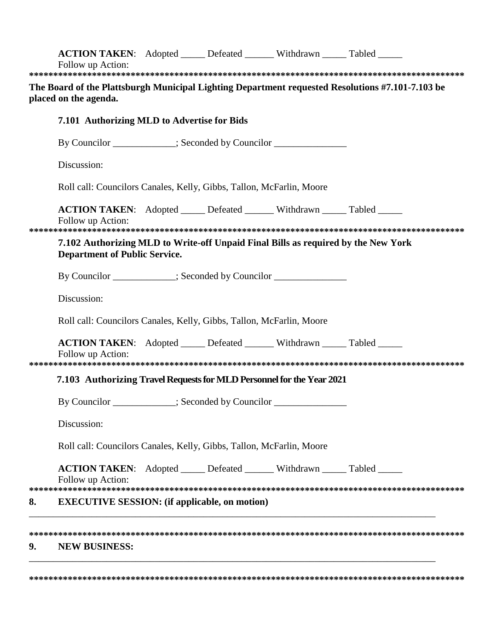|    | <b>ACTION TAKEN:</b> Adopted _____ Defeated ______ Withdrawn _____ Tabled _____<br>Follow up Action:                      |  |  |  |                                                                                                  |  |  |  |
|----|---------------------------------------------------------------------------------------------------------------------------|--|--|--|--------------------------------------------------------------------------------------------------|--|--|--|
|    |                                                                                                                           |  |  |  |                                                                                                  |  |  |  |
|    | placed on the agenda.                                                                                                     |  |  |  | The Board of the Plattsburgh Municipal Lighting Department requested Resolutions #7.101-7.103 be |  |  |  |
|    | 7.101 Authorizing MLD to Advertise for Bids                                                                               |  |  |  |                                                                                                  |  |  |  |
|    | By Councilor ___________; Seconded by Councilor _______________                                                           |  |  |  |                                                                                                  |  |  |  |
|    | Discussion:                                                                                                               |  |  |  |                                                                                                  |  |  |  |
|    | Roll call: Councilors Canales, Kelly, Gibbs, Tallon, McFarlin, Moore                                                      |  |  |  |                                                                                                  |  |  |  |
|    | <b>ACTION TAKEN:</b> Adopted _____ Defeated ______ Withdrawn _____ Tabled _____<br>Follow up Action:                      |  |  |  |                                                                                                  |  |  |  |
|    |                                                                                                                           |  |  |  |                                                                                                  |  |  |  |
|    | 7.102 Authorizing MLD to Write-off Unpaid Final Bills as required by the New York<br><b>Department of Public Service.</b> |  |  |  |                                                                                                  |  |  |  |
|    | By Councilor ___________; Seconded by Councilor _______________                                                           |  |  |  |                                                                                                  |  |  |  |
|    | Discussion:<br>Roll call: Councilors Canales, Kelly, Gibbs, Tallon, McFarlin, Moore                                       |  |  |  |                                                                                                  |  |  |  |
|    |                                                                                                                           |  |  |  |                                                                                                  |  |  |  |
|    | <b>ACTION TAKEN:</b> Adopted _____ Defeated ______ Withdrawn _____ Tabled _____<br>Follow up Action:                      |  |  |  |                                                                                                  |  |  |  |
|    | 7.103 Authorizing Travel Requests for MLD Personnel for the Year 2021                                                     |  |  |  |                                                                                                  |  |  |  |
|    | By Councilor ____________; Seconded by Councilor _______________________________                                          |  |  |  |                                                                                                  |  |  |  |
|    | Discussion:<br>Roll call: Councilors Canales, Kelly, Gibbs, Tallon, McFarlin, Moore                                       |  |  |  |                                                                                                  |  |  |  |
|    |                                                                                                                           |  |  |  |                                                                                                  |  |  |  |
|    | <b>ACTION TAKEN:</b> Adopted _____ Defeated ______ Withdrawn _____ Tabled _____<br>Follow up Action:                      |  |  |  |                                                                                                  |  |  |  |
| 8. | <b>EXECUTIVE SESSION:</b> (if applicable, on motion)                                                                      |  |  |  |                                                                                                  |  |  |  |
|    |                                                                                                                           |  |  |  |                                                                                                  |  |  |  |
|    |                                                                                                                           |  |  |  |                                                                                                  |  |  |  |

# **9. NEW BUSINESS:**

**\*\*\*\*\*\*\*\*\*\*\*\*\*\*\*\*\*\*\*\*\*\*\*\*\*\*\*\*\*\*\*\*\*\*\*\*\*\*\*\*\*\*\*\*\*\*\*\*\*\*\*\*\*\*\*\*\*\*\*\*\*\*\*\*\*\*\*\*\*\*\*\*\*\*\*\*\*\*\*\*\*\*\*\*\*\*\*\*\*\***

\_\_\_\_\_\_\_\_\_\_\_\_\_\_\_\_\_\_\_\_\_\_\_\_\_\_\_\_\_\_\_\_\_\_\_\_\_\_\_\_\_\_\_\_\_\_\_\_\_\_\_\_\_\_\_\_\_\_\_\_\_\_\_\_\_\_\_\_\_\_\_\_\_\_\_\_\_\_\_\_\_\_\_\_